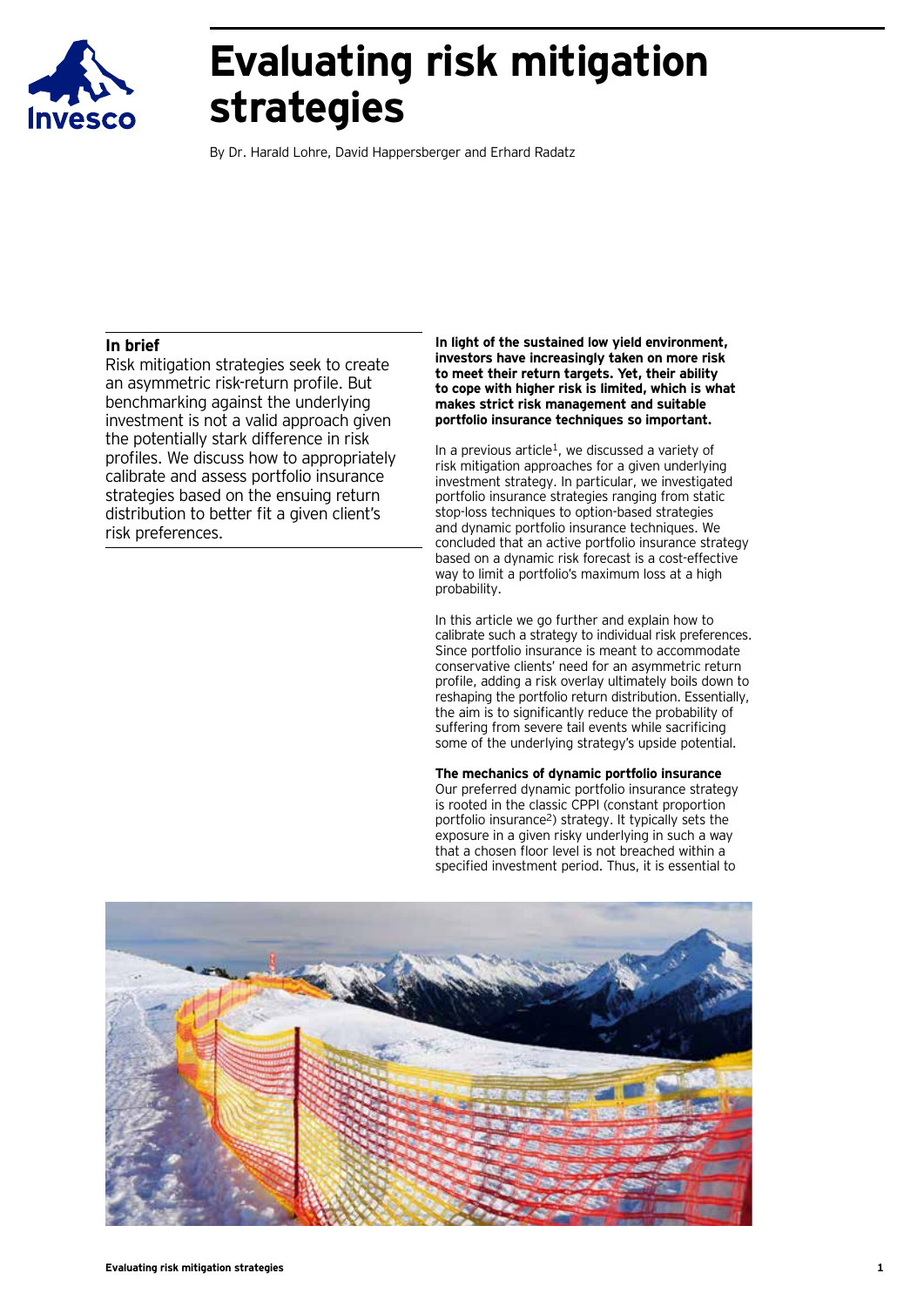

# **Evaluating risk mitigation strategies**

By Dr. Harald Lohre, David Happersberger and Erhard Radatz

#### **In brief**

Risk mitigation strategies seek to create an asymmetric risk-return profile. But benchmarking against the underlying investment is not a valid approach given the potentially stark difference in risk profiles. We discuss how to appropriately calibrate and assess portfolio insurance strategies based on the ensuing return distribution to better fit a given client's risk preferences.

**In light of the sustained low yield environment, investors have increasingly taken on more risk to meet their return targets. Yet, their ability to cope with higher risk is limited, which is what makes strict risk management and suitable portfolio insurance techniques so important.** 

In a previous article<sup>1</sup>, we discussed a variety of risk mitigation approaches for a given underlying investment strategy. In particular, we investigated portfolio insurance strategies ranging from static stop-loss techniques to option-based strategies and dynamic portfolio insurance techniques. We concluded that an active portfolio insurance strategy based on a dynamic risk forecast is a cost-effective way to limit a portfolio's maximum loss at a high probability.

In this article we go further and explain how to calibrate such a strategy to individual risk preferences. Since portfolio insurance is meant to accommodate conservative clients' need for an asymmetric return profile, adding a risk overlay ultimately boils down to reshaping the portfolio return distribution. Essentially, the aim is to significantly reduce the probability of suffering from severe tail events while sacrificing some of the underlying strategy's upside potential.

**The mechanics of dynamic portfolio insurance** Our preferred dynamic portfolio insurance strategy is rooted in the classic CPPI (constant proportion portfolio insurance2) strategy. It typically sets the exposure in a given risky underlying in such a way that a chosen floor level is not breached within a specified investment period. Thus, it is essential to

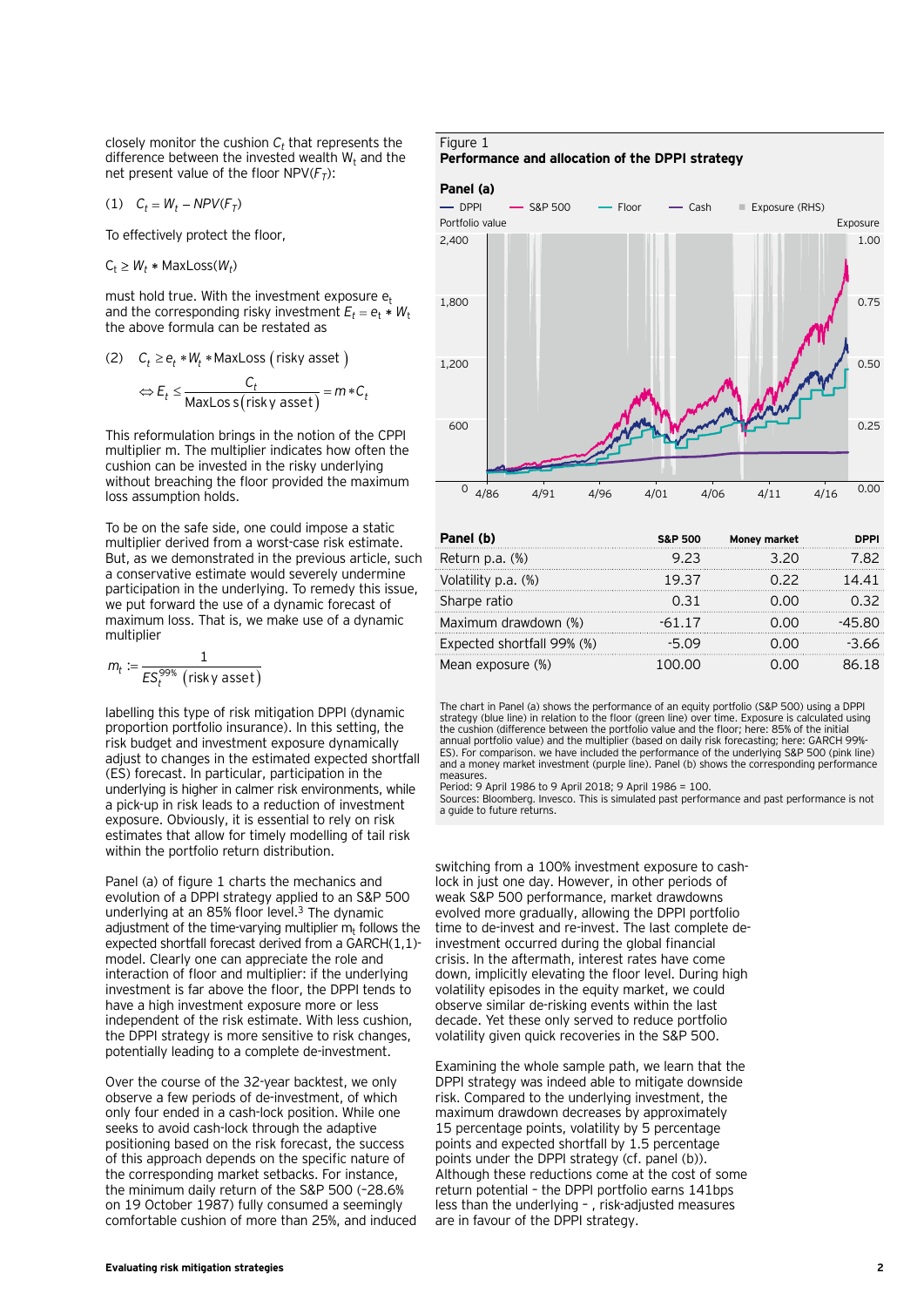closely monitor the cushion  $C_t$  that represents the difference between the invested wealth  $W_t$  and the net present value of the floor  $NPV(F_T)$ :

$$
(1) \quad C_t = W_t - NPV(F_T)
$$

To effectively protect the floor,

 $C_t \geq W_t * \text{MaxLoss}(W_t)$ 

must hold true. With the investment exposure  $e_t$ and the corresponding risky investment  $E_t = e_t * W_t$ the above formula can be restated as

(2) 
$$
C_t \ge e_t * W_t * \text{MaxLoss} \text{ (risky asset)}
$$
  

$$
\Leftrightarrow E_t \le \frac{C_t}{\text{MaxLoss} \text{ (risky asset)}} = m * C_t
$$

This reformulation brings in the notion of the CPPI multiplier m. The multiplier indicates how often the cushion can be invested in the risky underlying without breaching the floor provided the maximum loss assumption holds.

To be on the safe side, one could impose a static multiplier derived from a worst-case risk estimate. But, as we demonstrated in the previous article, such a conservative estimate would severely undermine participation in the underlying. To remedy this issue, we put forward the use of a dynamic forecast of maximum loss. That is, we make use of a dynamic multiplier

$$
m_t := \frac{1}{ES_t^{99\%} \text{ (risky asset)}}
$$

labelling this type of risk mitigation DPPI (dynamic proportion portfolio insurance). In this setting, the risk budget and investment exposure dynamically adjust to changes in the estimated expected shortfall (ES) forecast. In particular, participation in the underlying is higher in calmer risk environments, while a pick-up in risk leads to a reduction of investment exposure. Obviously, it is essential to rely on risk estimates that allow for timely modelling of tail risk within the portfolio return distribution.

Panel (a) of figure 1 charts the mechanics and evolution of a DPPI strategy applied to an S&P 500 underlying at an 85% floor level.3 The dynamic adjustment of the time-varying multiplier  $m<sub>t</sub>$  follows the expected shortfall forecast derived from a GARCH(1,1) model. Clearly one can appreciate the role and interaction of floor and multiplier: if the underlying investment is far above the floor, the DPPI tends to have a high investment exposure more or less independent of the risk estimate. With less cushion, the DPPI strategy is more sensitive to risk changes, potentially leading to a complete de-investment.

Over the course of the 32-year backtest, we only observe a few periods of de-investment, of which only four ended in a cash-lock position. While one seeks to avoid cash-lock through the adaptive positioning based on the risk forecast, the success of this approach depends on the specific nature of the corresponding market setbacks. For instance, the minimum daily return of the S&P 500 (–28.6% on 19 October 1987) fully consumed a seemingly comfortable cushion of more than 25%, and induced

### Figure 1

#### **Performance and allocation of the DPPI strategy**





| Panel (b)                  | <b>S&amp;P 500</b> | Money market | DPPI    |
|----------------------------|--------------------|--------------|---------|
| Return p.a. (%)            | 9.23               | 3.20         | 7.82    |
| Volatility p.a. (%)        | 19.37              | N 22         | 14.41   |
| Sharpe ratio               | 0 31               | റ ററ         | ก จว    |
| Maximum drawdown (%)       | $-61.17$           | 0.00         | -45 80  |
| Expected shortfall 99% (%) | -5 09              | റ ററ         | $-3.66$ |
| Mean exposure (%)          | 100.00             |              | 86 18   |

The chart in Panel (a) shows the performance of an equity portfolio (S&P 500) using a DPPI strategy (blue line) in relation to the floor (green line) over time. Exposure is calculated using the cushion (difference between the portfolio value and the floor; here: 85% of the initial annual portfolio value) and the multiplier (based on daily risk forecasting; here: GARCH 99%- ES). For comparison. we have included the performance of the underlying S&P 500 (pink line) and a money market investment (purple line). Panel (b) shows the corresponding performance measures.

Period: 9 April 1986 to 9 April 2018; 9 April 1986 = 100.

Sources: Bloomberg. Invesco. This is simulated past performance and past performance is not a guide to future returns.

switching from a 100% investment exposure to cashlock in just one day. However, in other periods of weak S&P 500 performance, market drawdowns evolved more gradually, allowing the DPPI portfolio time to de-invest and re-invest. The last complete deinvestment occurred during the global financial crisis. In the aftermath, interest rates have come down, implicitly elevating the floor level. During high volatility episodes in the equity market, we could observe similar de-risking events within the last decade. Yet these only served to reduce portfolio volatility given quick recoveries in the S&P 500.

Examining the whole sample path, we learn that the DPPI strategy was indeed able to mitigate downside risk. Compared to the underlying investment, the maximum drawdown decreases by approximately 15 percentage points, volatility by 5 percentage points and expected shortfall by 1.5 percentage points under the DPPI strategy (cf. panel (b)). Although these reductions come at the cost of some return potential – the DPPI portfolio earns 141bps less than the underlying – , risk-adjusted measures are in favour of the DPPI strategy.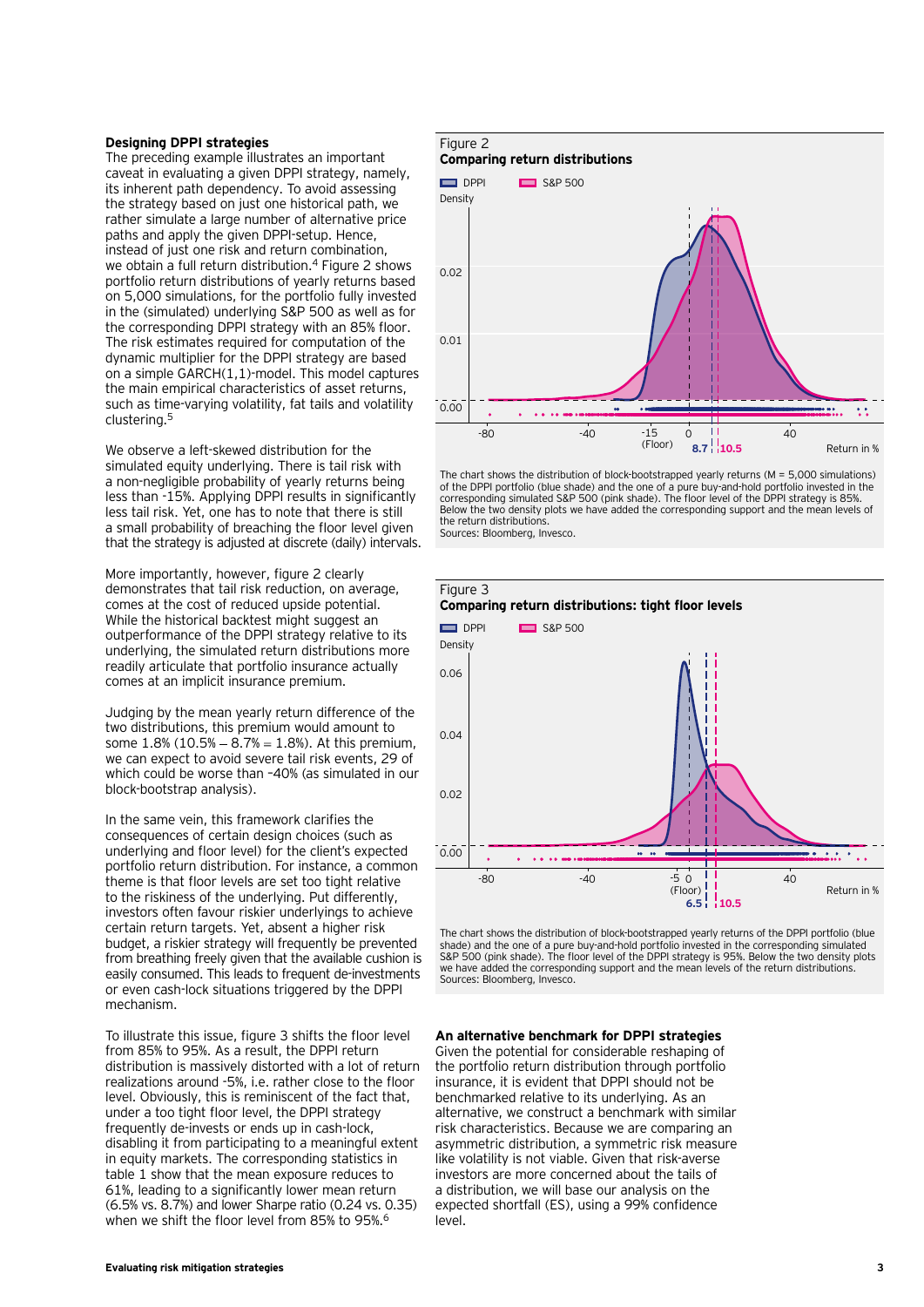#### **Designing DPPI strategies**

The preceding example illustrates an important caveat in evaluating a given DPPI strategy, namely, its inherent path dependency. To avoid assessing the strategy based on just one historical path, we rather simulate a large number of alternative price paths and apply the given DPPI-setup. Hence, instead of just one risk and return combination, we obtain a full return distribution.<sup>4</sup> Figure 2 shows portfolio return distributions of yearly returns based on 5,000 simulations, for the portfolio fully invested in the (simulated) underlying S&P 500 as well as for the corresponding DPPI strategy with an 85% floor. The risk estimates required for computation of the dynamic multiplier for the DPPI strategy are based on a simple GARCH(1,1)-model. This model captures the main empirical characteristics of asset returns, such as time-varying volatility, fat tails and volatility clustering.5

We observe a left-skewed distribution for the simulated equity underlying. There is tail risk with a non-negligible probability of yearly returns being less than -15%. Applying DPPI results in significantly less tail risk. Yet, one has to note that there is still a small probability of breaching the floor level given that the strategy is adjusted at discrete (daily) intervals.

More importantly, however, figure 2 clearly demonstrates that tail risk reduction, on average, comes at the cost of reduced upside potential. While the historical backtest might suggest an outperformance of the DPPI strategy relative to its underlying, the simulated return distributions more readily articulate that portfolio insurance actually comes at an implicit insurance premium.

Judging by the mean yearly return difference of the two distributions, this premium would amount to some  $1.8\%$  (10.5%  $-8.7\% = 1.8\%$ ). At this premium, we can expect to avoid severe tail risk events, 29 of which could be worse than –40% (as simulated in our block-bootstrap analysis).

In the same vein, this framework clarifies the consequences of certain design choices (such as underlying and floor level) for the client's expected portfolio return distribution. For instance, a common theme is that floor levels are set too tight relative to the riskiness of the underlying. Put differently, investors often favour riskier underlyings to achieve certain return targets. Yet, absent a higher risk budget, a riskier strategy will frequently be prevented from breathing freely given that the available cushion is easily consumed. This leads to frequent de-investments or even cash-lock situations triggered by the DPPI mechanism.

To illustrate this issue, figure 3 shifts the floor level from 85% to 95%. As a result, the DPPI return distribution is massively distorted with a lot of return realizations around -5%, i.e. rather close to the floor level. Obviously, this is reminiscent of the fact that, under a too tight floor level, the DPPI strategy frequently de-invests or ends up in cash-lock, disabling it from participating to a meaningful extent in equity markets. The corresponding statistics in table 1 show that the mean exposure reduces to 61%, leading to a significantly lower mean return (6.5% vs. 8.7%) and lower Sharpe ratio (0.24 vs. 0.35) when we shift the floor level from 85% to 95%.6

## Figure 2 **Comparing return distributions**



The chart shows the distribution of block-bootstrapped yearly returns (M = 5,000 simulations) of the DPPI portfolio (blue shade) and the one of a pure buy-and-hold portfolio invested in the corresponding simulated S&P 500 (pink shade). The floor level of the DPPI strategy is 85%. Below the two density plots we have added the corresponding support and the mean levels of the return distributions. Sources: Bloomberg, Invesco.



The chart shows the distribution of block-bootstrapped yearly returns of the DPPI portfolio (blue shade) and the one of a pure buy-and-hold portfolio invested in the corresponding simulated S&P 500 (pink shade). The floor level of the DPPI strategy is 95%. Below the two density plots we have added the corresponding support and the mean levels of the return distributions. Sources: Bloomberg, Invesco.

**An alternative benchmark for DPPI strategies**

Given the potential for considerable reshaping of the portfolio return distribution through portfolio insurance, it is evident that DPPI should not be benchmarked relative to its underlying. As an alternative, we construct a benchmark with similar risk characteristics. Because we are comparing an asymmetric distribution, a symmetric risk measure like volatility is not viable. Given that risk-averse investors are more concerned about the tails of a distribution, we will base our analysis on the expected shortfall (ES), using a 99% confidence level.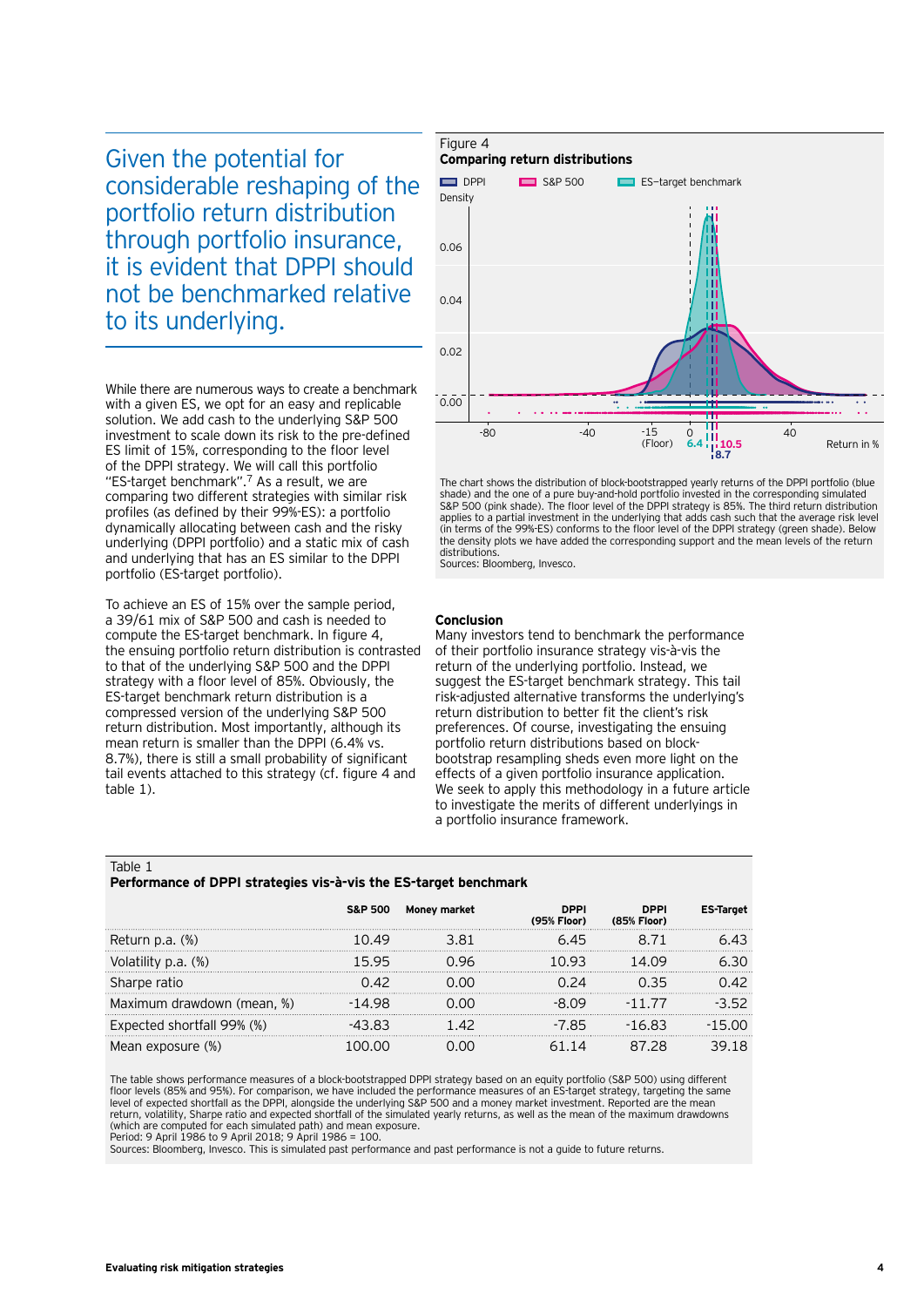Given the potential for considerable reshaping of the portfolio return distribution through portfolio insurance, it is evident that DPPI should not be benchmarked relative to its underlying.

While there are numerous ways to create a benchmark with a given ES, we opt for an easy and replicable solution. We add cash to the underlying S&P 500 investment to scale down its risk to the pre-defined ES limit of 15%, corresponding to the floor level of the DPPI strategy. We will call this portfolio "ES-target benchmark".7 As a result, we are comparing two different strategies with similar risk profiles (as defined by their 99%-ES): a portfolio dynamically allocating between cash and the risky underlying (DPPI portfolio) and a static mix of cash and underlying that has an ES similar to the DPPI portfolio (ES-target portfolio).

To achieve an ES of 15% over the sample period, a 39/61 mix of S&P 500 and cash is needed to compute the ES-target benchmark. In figure 4, the ensuing portfolio return distribution is contrasted to that of the underlying S&P 500 and the DPPI strategy with a floor level of 85%. Obviously, the ES-target benchmark return distribution is a compressed version of the underlying S&P 500 return distribution. Most importantly, although its mean return is smaller than the DPPI (6.4% vs. 8.7%), there is still a small probability of significant tail events attached to this strategy (cf. figure 4 and table 1).

# Figure 4



The chart shows the distribution of block-bootstrapped yearly returns of the DPPI portfolio (blue shade) and the one of a pure buy-and-hold portfolio invested in the corresponding simulated S&P 500 (pink shade). The floor level of the DPPI strategy is 85%. The third return distribution applies to a partial investment in the underlying that adds cash such that the average risk level (in terms of the 99%-ES) conforms to the floor level of the DPPI strategy (green shade). Below the density plots we have added the corresponding support and the mean levels of the return distributions

Sources: Bloomberg, Invesco.

#### **Conclusion**

Many investors tend to benchmark the performance of their portfolio insurance strategy vis-à-vis the return of the underlying portfolio. Instead, we suggest the ES-target benchmark strategy. This tail risk-adjusted alternative transforms the underlying's return distribution to better fit the client's risk preferences. Of course, investigating the ensuing portfolio return distributions based on blockbootstrap resampling sheds even more light on the effects of a given portfolio insurance application. We seek to apply this methodology in a future article to investigate the merits of different underlyings in a portfolio insurance framework.

#### Table 1

#### **Performance of DPPI strategies vis-à-vis the ES-target benchmark**

|                            |        | S&P 500 Money market | <b>DPPI</b><br>(95% Floor) | <b>DPPI</b><br>(85% Floor)        |  |
|----------------------------|--------|----------------------|----------------------------|-----------------------------------|--|
| Return p.a. (%)            | 49     |                      | 6 45                       |                                   |  |
| Volatility p.a. (%)        | 15 95  |                      | 10.93                      | 14 N9                             |  |
| Sharpe ratio               | N 42   |                      |                            | 35                                |  |
| Maximum drawdown (mean, %) | -14 98 |                      |                            | - 1                               |  |
| Expected shortfall 99% (%) |        |                      | -7 85                      | 16 83<br>$\overline{\phantom{0}}$ |  |
| an exposure (%)            |        |                      |                            | 28                                |  |

The table shows performance measures of a block-bootstrapped DPPI strategy based on an equity portfolio (S&P 500) using different floor levels (85% and 95%). For comparison, we have included the performance measures of an ES-target strategy, targeting the same<br>Ievel of expected shortfall as the DPPI, alongside the underlying S&P 500 and a money marke return, volatility, Sharpe ratio and expected shortfall of the simulated yearly returns, as well as the mean of the maximum drawdowns (which are computed for each simulated path) and mean exposure. Period: 9 April 1986 to 9 April 2018; 9 April 1986 = 100.

Sources: Bloomberg, Invesco. This is simulated past performance and past performance is not a guide to future returns.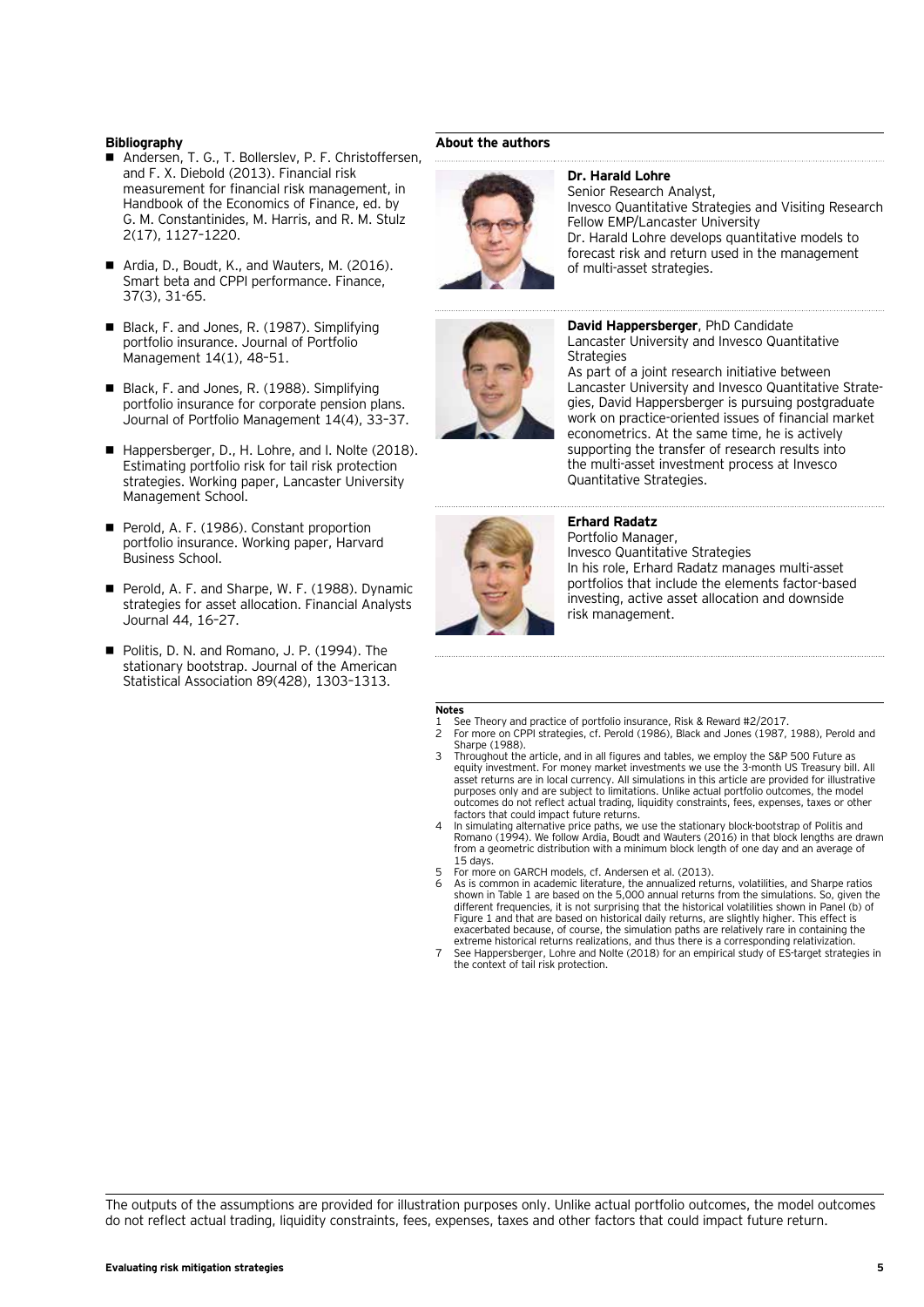#### **Bibliography**

- Andersen, T. G., T. Bollerslev, P. F. Christoffersen, and F. X. Diebold (2013). Financial risk measurement for financial risk management, in Handbook of the Economics of Finance, ed. by G. M. Constantinides, M. Harris, and R. M. Stulz 2(17), 1127–1220.
- Ardia, D., Boudt, K., and Wauters, M. (2016). Smart beta and CPPI performance. Finance, 37(3), 31-65.
- Black, F. and Jones, R. (1987). Simplifying portfolio insurance. Journal of Portfolio Management 14(1), 48–51.
- Black, F. and Jones, R. (1988). Simplifying portfolio insurance for corporate pension plans. Journal of Portfolio Management 14(4), 33–37.
- Happersberger, D., H. Lohre, and I. Nolte (2018). Estimating portfolio risk for tail risk protection strategies. Working paper, Lancaster University Management School.
- **Perold, A. F. (1986). Constant proportion** portfolio insurance. Working paper, Harvard Business School.
- **Perold, A. F. and Sharpe, W. F. (1988). Dynamic** strategies for asset allocation. Financial Analysts Journal 44, 16–27.
- Politis, D. N. and Romano, J. P. (1994). The stationary bootstrap. Journal of the American Statistical Association 89(428), 1303–1313.

#### **About the authors**



#### **Dr. Harald Lohre** Senior Research Analyst, Invesco Quantitative Strategies and Visiting Research Fellow EMP/Lancaster University

Dr. Harald Lohre develops quantitative models to forecast risk and return used in the management of multi-asset strategies.



#### **David Happersberger**, PhD Candidate Lancaster University and Invesco Quantitative

**Strategies** As part of a joint research initiative between Lancaster University and Invesco Quantitative Strategies, David Happersberger is pursuing postgraduate work on practice-oriented issues of financial market econometrics. At the same time, he is actively supporting the transfer of research results into the multi-asset investment process at Invesco Quantitative Strategies.



#### **Erhard Radatz**

Portfolio Manager, Invesco Quantitative Strategies In his role, Erhard Radatz manages multi-asset portfolios that include the elements factor-based investing, active asset allocation and downside risk management.

# **Notes**<br>1 Se<br>2 Fo

- See Theory and practice of portfolio insurance, Risk & Reward #2/2017
- 2 For more on CPPI strategies, cf. Perold (1986), Black and Jones (1987, 1988), Perold and Sharpe (1988).
- 3 Throughout the article, and in all figures and tables, we employ the S&P 500 Future as equity investment. For money market investments we use the 3-month US Treasury bill. All asset returns are in local currency. All simulations in this article are provided for illustrative purposes only and are subject to limitations. Unlike actual portfolio outcomes, the model outcomes do not reflect actual trading, liquidity constraints, fees, expenses, taxes or other factors that could impact future returns.
- 4 In simulating alternative price paths, we use the stationary block-bootstrap of Politis and Romano (1994). We follow Ardia, Boudt and Wauters (2016) in that block lengths are drawn from a geometric distribution with a minimum block length of one day and an average of 15 days.
- 5 For more on GARCH models, cf. Andersen et al. (2013).
- 6 As is common in academic literature, the annualized returns, volatilities, and Sharpe ratios shown in Table 1 are based on the 5,000 annual returns from the simulations. So, given the different frequencies, it is not surprising that the historical volatilities shown in Panel (b) of Figure 1 and that are based on historical daily returns, are slightly higher. This effect is exacerbated because, of course, the simulation paths are relatively rare in containing the
- extreme historical returns realizations, and thus there is a corresponding relativization. 7 See Happersberger, Lohre and Nolte (2018) for an empirical study of ES-target strategies in the context of tail risk protection.

The outputs of the assumptions are provided for illustration purposes only. Unlike actual portfolio outcomes, the model outcomes do not reflect actual trading, liquidity constraints, fees, expenses, taxes and other factors that could impact future return.